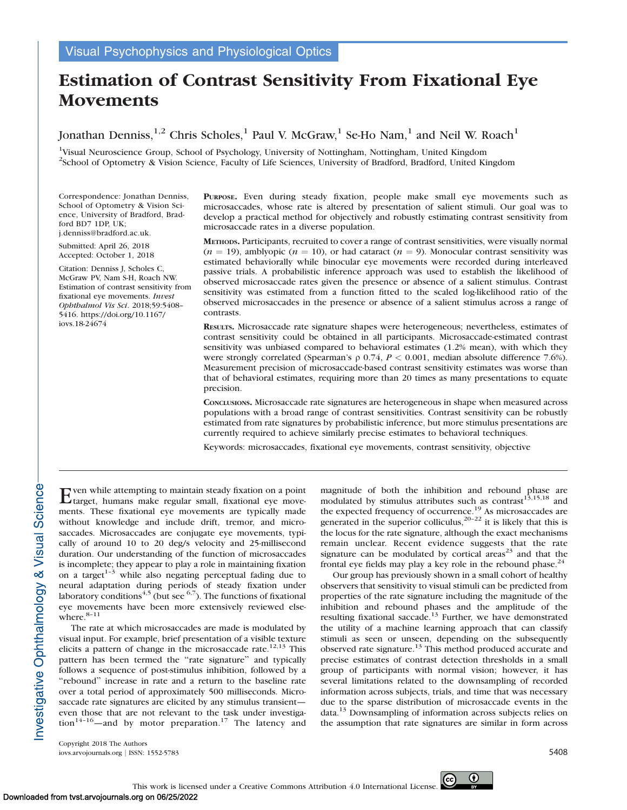# Estimation of Contrast Sensitivity From Fixational Eye Movements

Jonathan Denniss,<sup>1,2</sup> Chris Scholes,<sup>1</sup> Paul V. McGraw,<sup>1</sup> Se-Ho Nam,<sup>1</sup> and Neil W. Roach<sup>1</sup>

<sup>1</sup>Visual Neuroscience Group, School of Psychology, University of Nottingham, Nottingham, United Kingdom <sup>2</sup>School of Optometry & Vision Science, Faculty of Life Sciences, University of Bradford, Bradford, United Kingdom

Correspondence: Jonathan Denniss, School of Optometry & Vision Science, University of Bradford, Bradford BD7 1DP, UK; j.denniss@bradford.ac.uk.

Submitted: April 26, 2018 Accepted: October 1, 2018

Citation: Denniss J, Scholes C, McGraw PV, Nam S-H, Roach NW. Estimation of contrast sensitivity from fixational eye movements. Invest Ophthalmol Vis Sci. 2018;59:5408– 5416. https://doi.org/10.1167/ iovs.18-24674

PURPOSE. Even during steady fixation, people make small eye movements such as microsaccades, whose rate is altered by presentation of salient stimuli. Our goal was to develop a practical method for objectively and robustly estimating contrast sensitivity from microsaccade rates in a diverse population.

METHODS. Participants, recruited to cover a range of contrast sensitivities, were visually normal  $(n = 19)$ , amblyopic  $(n = 10)$ , or had cataract  $(n = 9)$ . Monocular contrast sensitivity was estimated behaviorally while binocular eye movements were recorded during interleaved passive trials. A probabilistic inference approach was used to establish the likelihood of observed microsaccade rates given the presence or absence of a salient stimulus. Contrast sensitivity was estimated from a function fitted to the scaled log-likelihood ratio of the observed microsaccades in the presence or absence of a salient stimulus across a range of contrasts.

RESULTS. Microsaccade rate signature shapes were heterogeneous; nevertheless, estimates of contrast sensitivity could be obtained in all participants. Microsaccade-estimated contrast sensitivity was unbiased compared to behavioral estimates (1.2% mean), with which they were strongly correlated (Spearman's  $\rho$  0.74,  $P < 0.001$ , median absolute difference 7.6%). Measurement precision of microsaccade-based contrast sensitivity estimates was worse than that of behavioral estimates, requiring more than 20 times as many presentations to equate precision.

CONCLUSIONS. Microsaccade rate signatures are heterogeneous in shape when measured across populations with a broad range of contrast sensitivities. Contrast sensitivity can be robustly estimated from rate signatures by probabilistic inference, but more stimulus presentations are currently required to achieve similarly precise estimates to behavioral techniques.

Keywords: microsaccades, fixational eye movements, contrast sensitivity, objective

Even while attempting to maintain steady fixation on a point target, humans make regular small, fixational eye movements. These fixational eye movements are typically made without knowledge and include drift, tremor, and microsaccades. Microsaccades are conjugate eye movements, typically of around 10 to 20 deg/s velocity and 25-millisecond duration. Our understanding of the function of microsaccades is incomplete; they appear to play a role in maintaining fixation on a target<sup>1-3</sup> while also negating perceptual fading due to neural adaptation during periods of steady fixation under laboratory conditions<sup>4,5</sup> (but see  $6,7$ ). The functions of fixational eye movements have been more extensively reviewed elsewhere.<sup>8-11</sup>

The rate at which microsaccades are made is modulated by visual input. For example, brief presentation of a visible texture elicits a pattern of change in the microsaccade rate.<sup>12,13</sup> This pattern has been termed the "rate signature" and typically follows a sequence of post-stimulus inhibition, followed by a "rebound" increase in rate and a return to the baseline rate over a total period of approximately 500 milliseconds. Microsaccade rate signatures are elicited by any stimulus transient even those that are not relevant to the task under investiga- $\text{tion}^{14-16}$ —and by motor preparation.<sup>17</sup> The latency and magnitude of both the inhibition and rebound phase are modulated by stimulus attributes such as contrast<sup>13,15,18</sup> and the expected frequency of occurrence.<sup>19</sup> As microsaccades are generated in the superior colliculus,<sup>20-22</sup> it is likely that this is the locus for the rate signature, although the exact mechanisms remain unclear. Recent evidence suggests that the rate signature can be modulated by cortical areas<sup>23</sup> and that the frontal eye fields may play a key role in the rebound phase. $24$ 

Our group has previously shown in a small cohort of healthy observers that sensitivity to visual stimuli can be predicted from properties of the rate signature including the magnitude of the inhibition and rebound phases and the amplitude of the resulting fixational saccade.<sup>13</sup> Further, we have demonstrated the utility of a machine learning approach that can classify stimuli as seen or unseen, depending on the subsequently observed rate signature.<sup>13</sup> This method produced accurate and precise estimates of contrast detection thresholds in a small group of participants with normal vision; however, it has several limitations related to the downsampling of recorded information across subjects, trials, and time that was necessary due to the sparse distribution of microsaccade events in the data.<sup>13</sup> Downsampling of information across subjects relies on the assumption that rate signatures are similar in form across

Copyright 2018 The Authors



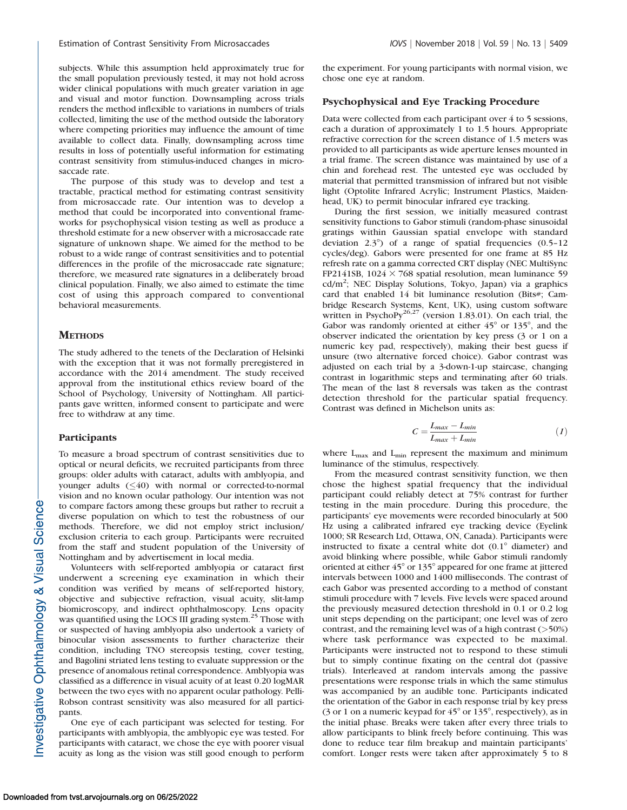subjects. While this assumption held approximately true for the small population previously tested, it may not hold across wider clinical populations with much greater variation in age and visual and motor function. Downsampling across trials renders the method inflexible to variations in numbers of trials collected, limiting the use of the method outside the laboratory where competing priorities may influence the amount of time available to collect data. Finally, downsampling across time results in loss of potentially useful information for estimating contrast sensitivity from stimulus-induced changes in microsaccade rate.

The purpose of this study was to develop and test a tractable, practical method for estimating contrast sensitivity from microsaccade rate. Our intention was to develop a method that could be incorporated into conventional frameworks for psychophysical vision testing as well as produce a threshold estimate for a new observer with a microsaccade rate signature of unknown shape. We aimed for the method to be robust to a wide range of contrast sensitivities and to potential differences in the profile of the microsaccade rate signature; therefore, we measured rate signatures in a deliberately broad clinical population. Finally, we also aimed to estimate the time cost of using this approach compared to conventional behavioral measurements.

## **METHODS**

The study adhered to the tenets of the Declaration of Helsinki with the exception that it was not formally preregistered in accordance with the 2014 amendment. The study received approval from the institutional ethics review board of the School of Psychology, University of Nottingham. All participants gave written, informed consent to participate and were free to withdraw at any time.

#### Participants

To measure a broad spectrum of contrast sensitivities due to optical or neural deficits, we recruited participants from three groups: older adults with cataract, adults with amblyopia, and younger adults  $(\leq 40)$  with normal or corrected-to-normal vision and no known ocular pathology. Our intention was not to compare factors among these groups but rather to recruit a diverse population on which to test the robustness of our methods. Therefore, we did not employ strict inclusion/ exclusion criteria to each group. Participants were recruited from the staff and student population of the University of Nottingham and by advertisement in local media.

Volunteers with self-reported amblyopia or cataract first underwent a screening eye examination in which their condition was verified by means of self-reported history, objective and subjective refraction, visual acuity, slit-lamp biomicroscopy, and indirect ophthalmoscopy. Lens opacity was quantified using the LOCS III grading system.<sup>25</sup> Those with or suspected of having amblyopia also undertook a variety of binocular vision assessments to further characterize their condition, including TNO stereopsis testing, cover testing, and Bagolini striated lens testing to evaluate suppression or the presence of anomalous retinal correspondence. Amblyopia was classified as a difference in visual acuity of at least 0.20 logMAR between the two eyes with no apparent ocular pathology. Pelli-Robson contrast sensitivity was also measured for all participants.

One eye of each participant was selected for testing. For participants with amblyopia, the amblyopic eye was tested. For participants with cataract, we chose the eye with poorer visual acuity as long as the vision was still good enough to perform

the experiment. For young participants with normal vision, we chose one eye at random.

# Psychophysical and Eye Tracking Procedure

Data were collected from each participant over 4 to 5 sessions, each a duration of approximately 1 to 1.5 hours. Appropriate refractive correction for the screen distance of 1.5 meters was provided to all participants as wide aperture lenses mounted in a trial frame. The screen distance was maintained by use of a chin and forehead rest. The untested eye was occluded by material that permitted transmission of infrared but not visible light (Optolite Infrared Acrylic; Instrument Plastics, Maidenhead, UK) to permit binocular infrared eye tracking.

During the first session, we initially measured contrast sensitivity functions to Gabor stimuli (random-phase sinusoidal gratings within Gaussian spatial envelope with standard deviation  $2.3^{\circ}$ ) of a range of spatial frequencies  $(0.5-12)$ cycles/deg). Gabors were presented for one frame at 85 Hz refresh rate on a gamma corrected CRT display (NEC MultiSync FP2141SB,  $1024 \times 768$  spatial resolution, mean luminance 59 cd/m<sup>2</sup>; NEC Display Solutions, Tokyo, Japan) via a graphics card that enabled 14 bit luminance resolution (Bits#; Cambridge Research Systems, Kent, UK), using custom software written in PsychoPy<sup>26,27</sup> (version 1.83.01). On each trial, the Gabor was randomly oriented at either  $45^{\circ}$  or  $135^{\circ}$ , and the observer indicated the orientation by key press (3 or 1 on a numeric key pad, respectively), making their best guess if unsure (two alternative forced choice). Gabor contrast was adjusted on each trial by a 3-down-1-up staircase, changing contrast in logarithmic steps and terminating after 60 trials. The mean of the last 8 reversals was taken as the contrast detection threshold for the particular spatial frequency. Contrast was defined in Michelson units as:

$$
C = \frac{L_{max} - L_{min}}{L_{max} + L_{min}}\tag{1}
$$

where  $L_{\text{max}}$  and  $L_{\text{min}}$  represent the maximum and minimum luminance of the stimulus, respectively.

From the measured contrast sensitivity function, we then chose the highest spatial frequency that the individual participant could reliably detect at 75% contrast for further testing in the main procedure. During this procedure, the participants' eye movements were recorded binocularly at 500 Hz using a calibrated infrared eye tracking device (Eyelink 1000; SR Research Ltd, Ottawa, ON, Canada). Participants were instructed to fixate a central white dot  $(0.1^{\circ}$  diameter) and avoid blinking where possible, while Gabor stimuli randomly oriented at either  $45^{\circ}$  or  $135^{\circ}$  appeared for one frame at jittered intervals between 1000 and 1400 milliseconds. The contrast of each Gabor was presented according to a method of constant stimuli procedure with 7 levels. Five levels were spaced around the previously measured detection threshold in 0.1 or 0.2 log unit steps depending on the participant; one level was of zero contrast, and the remaining level was of a high contrast (>50%) where task performance was expected to be maximal. Participants were instructed not to respond to these stimuli but to simply continue fixating on the central dot (passive trials). Interleaved at random intervals among the passive presentations were response trials in which the same stimulus was accompanied by an audible tone. Participants indicated the orientation of the Gabor in each response trial by key press (3 or 1 on a numeric keypad for  $45^{\circ}$  or  $135^{\circ}$ , respectively), as in the initial phase. Breaks were taken after every three trials to allow participants to blink freely before continuing. This was done to reduce tear film breakup and maintain participants' comfort. Longer rests were taken after approximately 5 to 8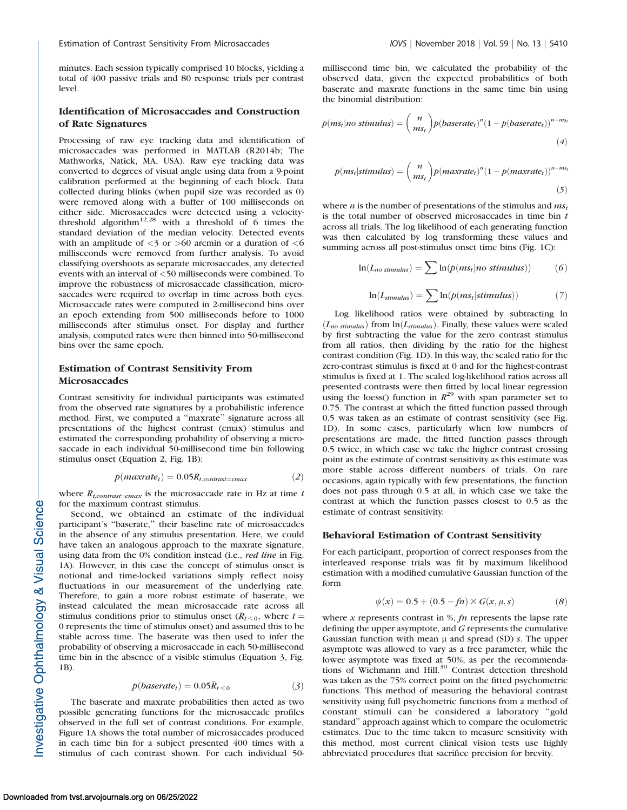minutes. Each session typically comprised 10 blocks, yielding a total of 400 passive trials and 80 response trials per contrast level.

# Identification of Microsaccades and Construction of Rate Signatures

Processing of raw eye tracking data and identification of microsaccades was performed in MATLAB (R2014b; The Mathworks, Natick, MA, USA). Raw eye tracking data was converted to degrees of visual angle using data from a 9-point calibration performed at the beginning of each block. Data collected during blinks (when pupil size was recorded as 0) were removed along with a buffer of 100 milliseconds on either side. Microsaccades were detected using a velocitythreshold algorithm<sup>12,28</sup> with a threshold of  $6$  times the standard deviation of the median velocity. Detected events with an amplitude of  $\langle 3 \rangle$  or  $> 60$  arcmin or a duration of  $\langle 6 \rangle$ milliseconds were removed from further analysis. To avoid classifying overshoots as separate microsaccades, any detected events with an interval of <50 milliseconds were combined. To improve the robustness of microsaccade classification, microsaccades were required to overlap in time across both eyes. Microsaccade rates were computed in 2-millisecond bins over an epoch extending from 500 milliseconds before to 1000 milliseconds after stimulus onset. For display and further analysis, computed rates were then binned into 50-millisecond bins over the same epoch.

# Estimation of Contrast Sensitivity From **Microsaccades**

Contrast sensitivity for individual participants was estimated from the observed rate signatures by a probabilistic inference method. First, we computed a ''maxrate'' signature across all presentations of the highest contrast (cmax) stimulus and estimated the corresponding probability of observing a microsaccade in each individual 50-millisecond time bin following stimulus onset (Equation 2, Fig. 1B):

$$
p(maxrate_t) = 0.05R_{t,contrast = cmax} \tag{2}
$$

where  $R_{t.contrast = cmax}$  is the microsaccade rate in Hz at time t for the maximum contrast stimulus.

Second, we obtained an estimate of the individual participant's ''baserate,'' their baseline rate of microsaccades in the absence of any stimulus presentation. Here, we could have taken an analogous approach to the maxrate signature, using data from the 0% condition instead (i.e., *red line* in Fig. 1A). However, in this case the concept of stimulus onset is notional and time-locked variations simply reflect noisy fluctuations in our measurement of the underlying rate. Therefore, to gain a more robust estimate of baserate, we instead calculated the mean microsaccade rate across all stimulus conditions prior to stimulus onset  $(\bar{R}_{t<0},$  where  $t=$ 0 represents the time of stimulus onset) and assumed this to be stable across time. The baserate was then used to infer the probability of observing a microsaccade in each 50-millisecond time bin in the absence of a visible stimulus (Equation 3, Fig. 1B).

$$
p(baserate_t) = 0.05\bar{R}_{t<0} \tag{3}
$$

The baserate and maxrate probabilities then acted as two possible generating functions for the microsaccade profiles observed in the full set of contrast conditions. For example, Figure 1A shows the total number of microsaccades produced in each time bin for a subject presented 400 times with a stimulus of each contrast shown. For each individual 50millisecond time bin, we calculated the probability of the observed data, given the expected probabilities of both baserate and maxrate functions in the same time bin using the binomial distribution:

$$
p(ms_t|no\text{ stimulus}) = {n \choose ms_t} p(baserate_t)^n (1 - p(baserate_t))^{n - ms_t}
$$
\n(4)

$$
p(m_{\text{St}}|\text{stimulus}) = {n \choose m_{\text{St}}} p(m\text{axrate}_t)^n (1 - p(m\text{axrate}_t))^{n - ms_t}
$$
\n(5)

where *n* is the number of presentations of the stimulus and  $ms_t$ is the total number of observed microsaccades in time bin  $t$ across all trials. The log likelihood of each generating function was then calculated by log transforming these values and summing across all post-stimulus onset time bins (Fig. 1C):

$$
\ln(L_{no\,stimulus}) = \sum \ln(p(ms_t|no\,stimulus)) \tag{6}
$$

$$
\ln(L_{stimulus}) = \sum \ln(p(ms_t|stimulus)) \tag{7}
$$

Log likelihood ratios were obtained by subtracting ln  $\left(L_{no~stimulus}\right)$  from  $\ln\left(L_{stimulus}\right).$  Finally, these values were scaled by first subtracting the value for the zero contrast stimulus from all ratios, then dividing by the ratio for the highest contrast condition (Fig. 1D). In this way, the scaled ratio for the zero-contrast stimulus is fixed at 0 and for the highest-contrast stimulus is fixed at 1. The scaled log-likelihood ratios across all presented contrasts were then fitted by local linear regression using the loess() function in  $R^{29}$  with span parameter set to 0.75. The contrast at which the fitted function passed through 0.5 was taken as an estimate of contrast sensitivity (see Fig. 1D). In some cases, particularly when low numbers of presentations are made, the fitted function passes through 0.5 twice, in which case we take the higher contrast crossing point as the estimate of contrast sensitivity as this estimate was more stable across different numbers of trials. On rare occasions, again typically with few presentations, the function does not pass through 0.5 at all, in which case we take the contrast at which the function passes closest to 0.5 as the estimate of contrast sensitivity.

## Behavioral Estimation of Contrast Sensitivity

For each participant, proportion of correct responses from the interleaved response trials was fit by maximum likelihood estimation with a modified cumulative Gaussian function of the form

$$
\psi(x) = 0.5 + (0.5 - fn) \times G(x, \mu, s)
$$
 (8)

where  $x$  represents contrast in %,  $fn$  represents the lapse rate defining the upper asymptote, and G represents the cumulative Gaussian function with mean  $\mu$  and spread (SD) s. The upper asymptote was allowed to vary as a free parameter, while the lower asymptote was fixed at 50%, as per the recommendations of Wichmann and Hill.<sup>30</sup> Contrast detection threshold was taken as the 75% correct point on the fitted psychometric functions. This method of measuring the behavioral contrast sensitivity using full psychometric functions from a method of constant stimuli can be considered a laboratory ''gold standard'' approach against which to compare the oculometric estimates. Due to the time taken to measure sensitivity with this method, most current clinical vision tests use highly abbreviated procedures that sacrifice precision for brevity.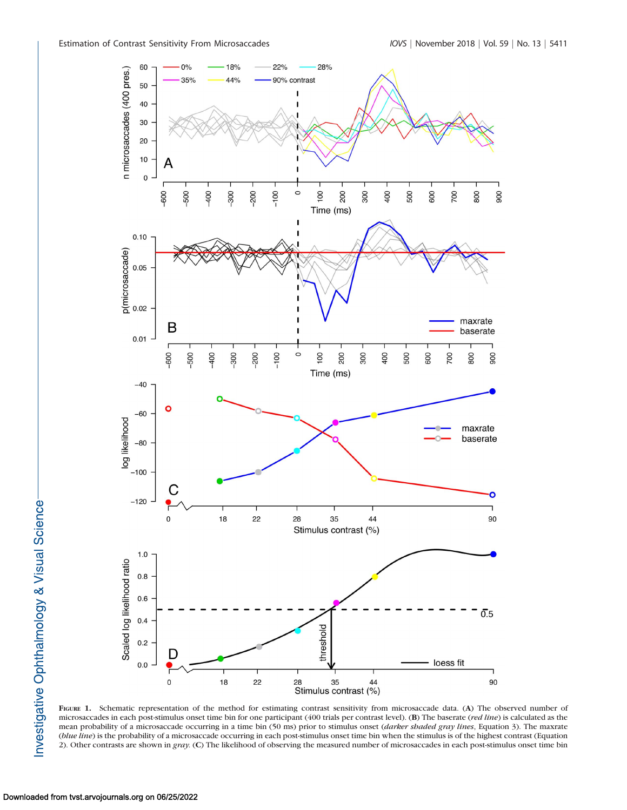

FIGURE 1. Schematic representation of the method for estimating contrast sensitivity from microsaccade data. (A) The observed number of microsaccades in each post-stimulus onset time bin for one participant (400 trials per contrast level). (B) The baserate (red line) is calculated as the mean probability of a microsaccade occurring in a time bin (50 ms) prior to stimulus onset (darker shaded gray lines, Equation 3). The maxrate (blue line) is the probability of a microsaccade occurring in each post-stimulus onset time bin when the stimulus is of the highest contrast (Equation 2). Other contrasts are shown in gray. (C) The likelihood of observing the measured number of microsaccades in each post-stimulus onset time bin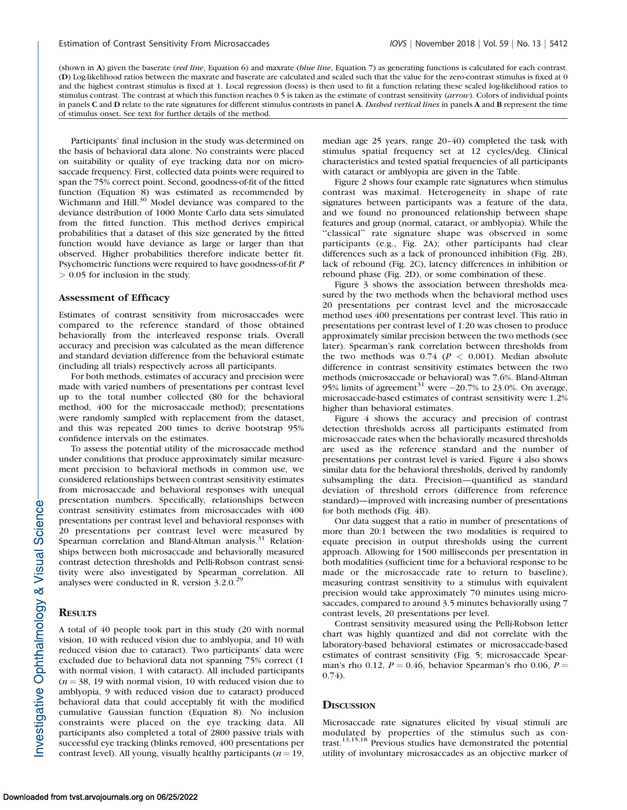(shown in A) given the baserate (red line, Equation 6) and maxrate (blue line, Equation 7) as generating functions is calculated for each contrast. (D) Log-likelihood ratios between the maxrate and baserate are calculated and scaled such that the value for the zero-contrast stimulus is fixed at 0 and the highest contrast stimulus is fixed at 1. Local regression (loess) is then used to fit a function relating these scaled log-likelihood ratios to stimulus contrast. The contrast at which this function reaches 0.5 is taken as the estimate of contrast sensitivity (arrow). Colors of individual points in panels C and D relate to the rate signatures for different stimulus contrasts in panel A. Dashed vertical lines in panels A and B represent the time of stimulus onset. See text for further details of the method.

Participants' final inclusion in the study was determined on the basis of behavioral data alone. No constraints were placed on suitability or quality of eye tracking data nor on microsaccade frequency. First, collected data points were required to span the 75% correct point. Second, goodness-of-fit of the fitted function (Equation 8) was estimated as recommended by Wichmann and Hill.<sup>30</sup> Model deviance was compared to the deviance distribution of 1000 Monte Carlo data sets simulated from the fitted function. This method derives empirical probabilities that a dataset of this size generated by the fitted function would have deviance as large or larger than that observed. Higher probabilities therefore indicate better fit. Psychometric functions were required to have goodness-of-fit P > 0.05 for inclusion in the study.

#### Assessment of Efficacy

Estimates of contrast sensitivity from microsaccades were compared to the reference standard of those obtained behaviorally from the interleaved response trials. Overall accuracy and precision was calculated as the mean difference and standard deviation difference from the behavioral estimate (including all trials) respectively across all participants.

For both methods, estimates of accuracy and precision were made with varied numbers of presentations per contrast level up to the total number collected (80 for the behavioral method, 400 for the microsaccade method); presentations were randomly sampled with replacement from the dataset, and this was repeated 200 times to derive bootstrap 95% confidence intervals on the estimates.

To assess the potential utility of the microsaccade method under conditions that produce approximately similar measurement precision to behavioral methods in common use, we considered relationships between contrast sensitivity estimates from microsaccade and behavioral responses with unequal presentation numbers. Specifically, relationships between contrast sensitivity estimates from microsaccades with 400 presentations per contrast level and behavioral responses with 20 presentations per contrast level were measured by Spearman correlation and Bland-Altman analysis. $31$  Relationships between both microsaccade and behaviorally measured contrast detection thresholds and Pelli-Robson contrast sensitivity were also investigated by Spearman correlation. All analyses were conducted in R, version  $3.2.0<sup>2</sup>$ 

## **RESULTS**

A total of 40 people took part in this study (20 with normal vision, 10 with reduced vision due to amblyopia, and 10 with reduced vision due to cataract). Two participants' data were excluded due to behavioral data not spanning 75% correct (1 with normal vision, 1 with cataract). All included participants  $(n = 38, 19$  with normal vision, 10 with reduced vision due to amblyopia, 9 with reduced vision due to cataract) produced behavioral data that could acceptably fit with the modified cumulative Gaussian function (Equation 8). No inclusion constraints were placed on the eye tracking data. All participants also completed a total of 2800 passive trials with successful eye tracking (blinks removed, 400 presentations per contrast level). All young, visually healthy participants ( $n = 19$ ,

median age 25 years, range 20–40) completed the task with stimulus spatial frequency set at 12 cycles/deg. Clinical characteristics and tested spatial frequencies of all participants with cataract or amblyopia are given in the Table.

Figure 2 shows four example rate signatures when stimulus contrast was maximal. Heterogeneity in shape of rate signatures between participants was a feature of the data, and we found no pronounced relationship between shape features and group (normal, cataract, or amblyopia). While the "classical" rate signature shape was observed in some participants (e.g., Fig. 2A); other participants had clear differences such as a lack of pronounced inhibition (Fig. 2B), lack of rebound (Fig. 2C), latency differences in inhibition or rebound phase (Fig. 2D), or some combination of these.

Figure 3 shows the association between thresholds measured by the two methods when the behavioral method uses 20 presentations per contrast level and the microsaccade method uses 400 presentations per contrast level. This ratio in presentations per contrast level of 1:20 was chosen to produce approximately similar precision between the two methods (see later). Spearman's rank correlation between thresholds from the two methods was  $0.74$  ( $P < 0.001$ ). Median absolute difference in contrast sensitivity estimates between the two methods (microsaccade or behavioral) was 7.6%. Bland-Altman 95% limits of agreement<sup>31</sup> were  $-20.7\%$  to 23.0%. On average, microsaccade-based estimates of contrast sensitivity were 1.2% higher than behavioral estimates.

Figure 4 shows the accuracy and precision of contrast detection thresholds across all participants estimated from microsaccade rates when the behaviorally measured thresholds are used as the reference standard and the number of presentations per contrast level is varied. Figure 4 also shows similar data for the behavioral thresholds, derived by randomly subsampling the data. Precision—quantified as standard deviation of threshold errors (difference from reference standard)—improved with increasing number of presentations for both methods (Fig. 4B).

Our data suggest that a ratio in number of presentations of more than 20:1 between the two modalities is required to equate precision in output thresholds using the current approach. Allowing for 1500 milliseconds per presentation in both modalities (sufficient time for a behavioral response to be made or the microsaccade rate to return to baseline), measuring contrast sensitivity to a stimulus with equivalent precision would take approximately 70 minutes using microsaccades, compared to around 3.5 minutes behaviorally using 7 contrast levels, 20 presentations per level.

Contrast sensitivity measured using the Pelli-Robson letter chart was highly quantized and did not correlate with the laboratory-based behavioral estimates or microsaccade-based estimates of contrast sensitivity (Fig. 5; microsaccade Spearman's rho 0.12,  $P = 0.46$ , behavior Spearman's rho 0.06,  $P =$ 0.74).

#### **DISCUSSION**

Microsaccade rate signatures elicited by visual stimuli are modulated by properties of the stimulus such as contrast.13,15,18 Previous studies have demonstrated the potential utility of involuntary microsaccades as an objective marker of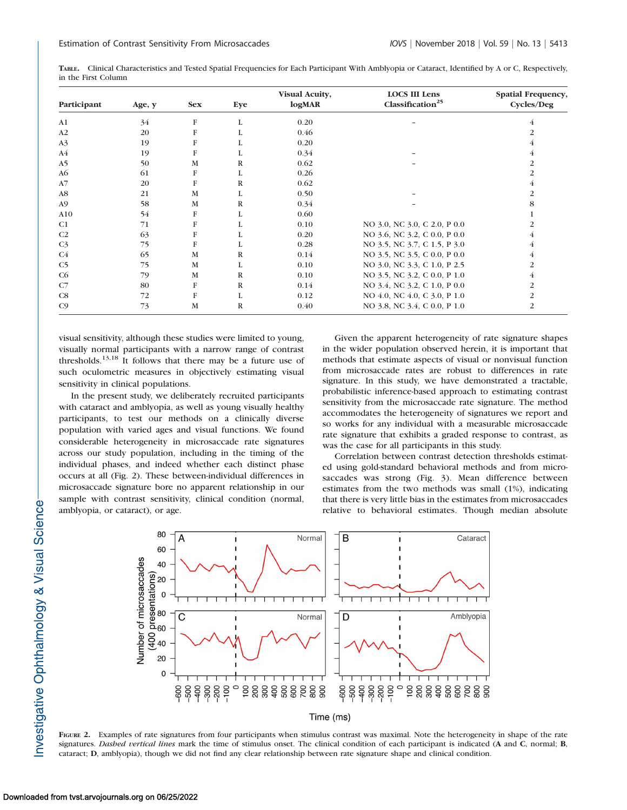|                     | TABLE. Clinical Characteristics and Tested Spatial Frequencies for Each Participant With Amblyopia or Cataract, Identified by A or C, Respectively, |  |  |  |
|---------------------|-----------------------------------------------------------------------------------------------------------------------------------------------------|--|--|--|
| in the First Column |                                                                                                                                                     |  |  |  |

| Participant    | Age, y | <b>Sex</b>  | Eye          | <b>Visual Acuity,</b><br>logMAR | <b>LOCS III Lens</b><br>Classification <sup>25</sup> | Spatial Frequency,<br>Cycles/Deg |
|----------------|--------|-------------|--------------|---------------------------------|------------------------------------------------------|----------------------------------|
| A1             | 34     | ${\bf F}$   | L            | 0.20                            |                                                      | 4                                |
| A2             | 20     | F           |              | 0.46                            |                                                      | 2                                |
| A <sub>3</sub> | 19     | F           |              | 0.20                            |                                                      | 4                                |
| A4             | 19     | F           |              | 0.34                            |                                                      | 4                                |
| A <sub>5</sub> | 50     | M           | $\mathbb{R}$ | 0.62                            |                                                      | $\overline{2}$                   |
| A6             | 61     | F           | L            | 0.26                            |                                                      | 2                                |
| A7             | 20     | ${\rm F}$   | $\mathbb{R}$ | 0.62                            |                                                      | 4                                |
| A8             | 21     | M           | L            | 0.50                            |                                                      | 2                                |
| A <sub>9</sub> | 58     | M           | $\mathbb{R}$ | 0.34                            |                                                      | 8                                |
| A10            | 54     | F           |              | 0.60                            |                                                      |                                  |
| C1             | 71     | F           |              | 0.10                            | NO 3.0, NC 3.0, C 2.0, P 0.0                         | 2                                |
| C <sub>2</sub> | 63     | F           | L            | 0.20                            | NO 3.6, NC 3.2, C 0.0, P 0.0                         | 4                                |
| C <sub>3</sub> | 75     | F           | L            | 0.28                            | NO 3.5, NC 3.7, C 1.5, P 3.0                         | 4                                |
| C4             | 65     | M           | $\mathbb{R}$ | 0.14                            | NO 3.5, NC 3.5, C 0.0, P 0.0                         | 4                                |
| C <sub>5</sub> | 75     | M           | L            | 0.10                            | NO 3.0, NC 3.3, C 1.0, P 2.5                         | 2                                |
| C <sub>6</sub> | 79     | M           | $\mathbb{R}$ | 0.10                            | NO 3.5, NC 3.2, C 0.0, P 1.0                         | 4                                |
| C7             | 80     | F           | $\mathbb{R}$ | 0.14                            | NO 3.4, NC 3.2, C 1.0, P 0.0                         | 2                                |
| C8             | 72     | $\mathbf F$ | L            | 0.12                            | NO 4.0, NC 4.0, C 3.0, P 1.0                         | 2                                |
| C9             | 73     | M           | $\mathbb R$  | 0.40                            | NO 3.8, NC 3.4, C 0.0, P 1.0                         | 2                                |

visual sensitivity, although these studies were limited to young, visually normal participants with a narrow range of contrast thresholds.<sup>13,18</sup> It follows that there may be a future use of such oculometric measures in objectively estimating visual sensitivity in clinical populations.

In the present study, we deliberately recruited participants with cataract and amblyopia, as well as young visually healthy participants, to test our methods on a clinically diverse population with varied ages and visual functions. We found considerable heterogeneity in microsaccade rate signatures across our study population, including in the timing of the individual phases, and indeed whether each distinct phase occurs at all (Fig. 2). These between-individual differences in microsaccade signature bore no apparent relationship in our sample with contrast sensitivity, clinical condition (normal, amblyopia, or cataract), or age.

Given the apparent heterogeneity of rate signature shapes in the wider population observed herein, it is important that methods that estimate aspects of visual or nonvisual function from microsaccade rates are robust to differences in rate signature. In this study, we have demonstrated a tractable, probabilistic inference-based approach to estimating contrast sensitivity from the microsaccade rate signature. The method accommodates the heterogeneity of signatures we report and so works for any individual with a measurable microsaccade rate signature that exhibits a graded response to contrast, as was the case for all participants in this study.

Correlation between contrast detection thresholds estimated using gold-standard behavioral methods and from microsaccades was strong (Fig. 3). Mean difference between estimates from the two methods was small (1%), indicating that there is very little bias in the estimates from microsaccades relative to behavioral estimates. Though median absolute



FIGURE 2. Examples of rate signatures from four participants when stimulus contrast was maximal. Note the heterogeneity in shape of the rate signatures. Dashed vertical lines mark the time of stimulus onset. The clinical condition of each participant is indicated (A and C, normal; B, cataract; D, amblyopia), though we did not find any clear relationship between rate signature shape and clinical condition.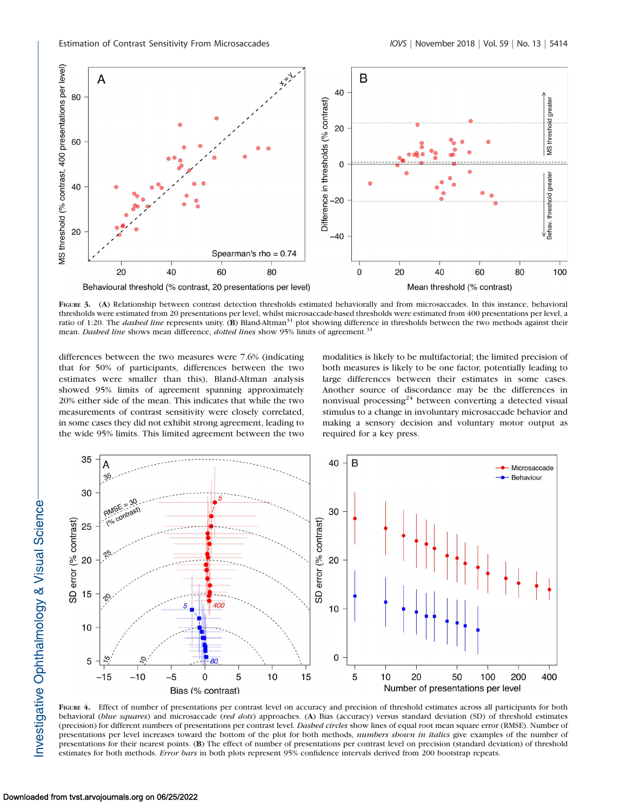

FIGURE 3. (A) Relationship between contrast detection thresholds estimated behaviorally and from microsaccades. In this instance, behavioral thresholds were estimated from 20 presentations per level, whilst microsaccade-based thresholds were estimated from 400 presentations per level, a ratio of 1:20. The *dashed line* represents unity.  $(B)$  Bland-Altman<sup>31</sup> plot showing difference in thresholds between the two methods against their mean. Dashed line shows mean difference, dotted lines show 95% limits of agreement.<sup>31</sup>

differences between the two measures were 7.6% (indicating that for 50% of participants, differences between the two estimates were smaller than this), Bland-Altman analysis showed 95% limits of agreement spanning approximately 20% either side of the mean. This indicates that while the two measurements of contrast sensitivity were closely correlated, in some cases they did not exhibit strong agreement, leading to the wide 95% limits. This limited agreement between the two

modalities is likely to be multifactorial; the limited precision of both measures is likely to be one factor, potentially leading to large differences between their estimates in some cases. Another source of discordance may be the differences in nonvisual processing $^{24}$  between converting a detected visual stimulus to a change in involuntary microsaccade behavior and making a sensory decision and voluntary motor output as required for a key press.



FIGURE 4. Effect of number of presentations per contrast level on accuracy and precision of threshold estimates across all participants for both behavioral (blue squares) and microsaccade (red dots) approaches. (A) Bias (accuracy) versus standard deviation (SD) of threshold estimates (precision) for different numbers of presentations per contrast level. Dashed circles show lines of equal root mean square error (RMSE). Number of presentations per level increases toward the bottom of the plot for both methods, *numbers shown in italics* give examples of the number of presentations for their nearest points. (B) The effect of number of presentations per contrast level on precision (standard deviation) of threshold estimates for both methods. Error bars in both plots represent 95% confidence intervals derived from 200 bootstrap repeats.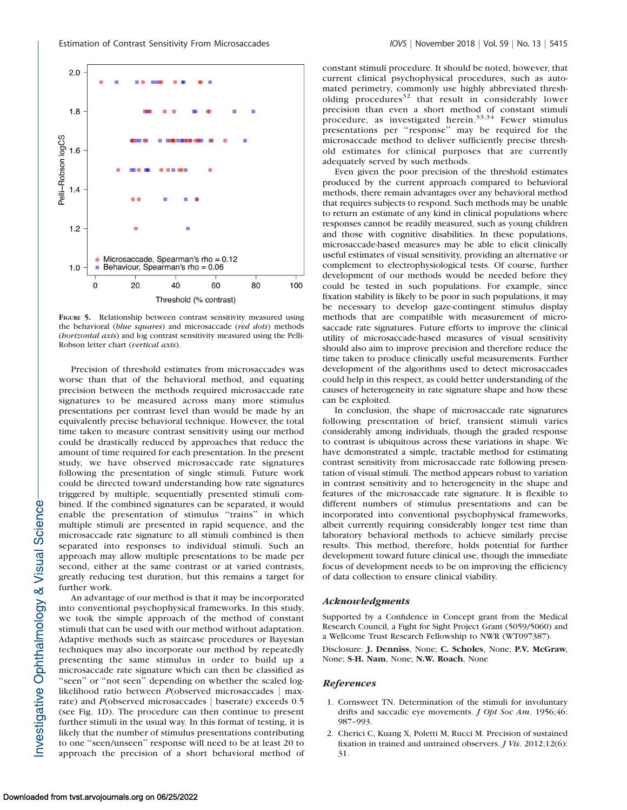

FIGURE 5. Relationship between contrast sensitivity measured using the behavioral (blue squares) and microsaccade (red dots) methods (horizontal axis) and log contrast sensitivity measured using the Pelli-Robson letter chart (vertical axis).

Precision of threshold estimates from microsaccades was worse than that of the behavioral method, and equating precision between the methods required microsaccade rate signatures to be measured across many more stimulus presentations per contrast level than would be made by an equivalently precise behavioral technique. However, the total time taken to measure contrast sensitivity using our method could be drastically reduced by approaches that reduce the amount of time required for each presentation. In the present study, we have observed microsaccade rate signatures following the presentation of single stimuli. Future work could be directed toward understanding how rate signatures triggered by multiple, sequentially presented stimuli combined. If the combined signatures can be separated, it would enable the presentation of stimulus ''trains'' in which multiple stimuli are presented in rapid sequence, and the microsaccade rate signature to all stimuli combined is then separated into responses to individual stimuli. Such an approach may allow multiple presentations to be made per second, either at the same contrast or at varied contrasts, greatly reducing test duration, but this remains a target for further work.

An advantage of our method is that it may be incorporated into conventional psychophysical frameworks. In this study, we took the simple approach of the method of constant stimuli that can be used with our method without adaptation. Adaptive methods such as staircase procedures or Bayesian techniques may also incorporate our method by repeatedly presenting the same stimulus in order to build up a microsaccade rate signature which can then be classified as "seen" or "not seen" depending on whether the scaled loglikelihood ratio between P(observed microsaccades | maxrate) and P(observed microsaccades | baserate) exceeds 0.5 (see Fig. 1D). The procedure can then continue to present further stimuli in the usual way. In this format of testing, it is likely that the number of stimulus presentations contributing to one ''seen/unseen'' response will need to be at least 20 to approach the precision of a short behavioral method of constant stimuli procedure. It should be noted, however, that current clinical psychophysical procedures, such as automated perimetry, commonly use highly abbreviated thresholding procedures $32$  that result in considerably lower precision than even a short method of constant stimuli procedure, as investigated herein. $33,34$  Fewer stimulus presentations per ''response'' may be required for the microsaccade method to deliver sufficiently precise threshold estimates for clinical purposes that are currently adequately served by such methods.

Even given the poor precision of the threshold estimates produced by the current approach compared to behavioral methods, there remain advantages over any behavioral method that requires subjects to respond. Such methods may be unable to return an estimate of any kind in clinical populations where responses cannot be readily measured, such as young children and those with cognitive disabilities. In these populations, microsaccade-based measures may be able to elicit clinically useful estimates of visual sensitivity, providing an alternative or complement to electrophysiological tests. Of course, further development of our methods would be needed before they could be tested in such populations. For example, since fixation stability is likely to be poor in such populations, it may be necessary to develop gaze-contingent stimulus display methods that are compatible with measurement of microsaccade rate signatures. Future efforts to improve the clinical utility of microsaccade-based measures of visual sensitivity should also aim to improve precision and therefore reduce the time taken to produce clinically useful measurements. Further development of the algorithms used to detect microsaccades could help in this respect, as could better understanding of the causes of heterogeneity in rate signature shape and how these can be exploited.

In conclusion, the shape of microsaccade rate signatures following presentation of brief, transient stimuli varies considerably among individuals, though the graded response to contrast is ubiquitous across these variations in shape. We have demonstrated a simple, tractable method for estimating contrast sensitivity from microsaccade rate following presentation of visual stimuli. The method appears robust to variation in contrast sensitivity and to heterogeneity in the shape and features of the microsaccade rate signature. It is flexible to different numbers of stimulus presentations and can be incorporated into conventional psychophysical frameworks, albeit currently requiring considerably longer test time than laboratory behavioral methods to achieve similarly precise results. This method, therefore, holds potential for further development toward future clinical use, though the immediate focus of development needs to be on improving the efficiency of data collection to ensure clinical viability.

#### Acknowledgments

Supported by a Confidence in Concept grant from the Medical Research Council, a Fight for Sight Project Grant (5059/5060) and a Wellcome Trust Research Fellowship to NWR (WT097387).

Disclosure: J. Denniss, None; C. Scholes, None; P.V. McGraw, None; S-H. Nam, None; N.W. Roach, None

#### References

- 1. Cornsweet TN. Determination of the stimuli for involuntary drifts and saccadic eye movements. J Opt Soc Am. 1956;46: 987–993.
- 2. Cherici C, Kuang X, Poletti M, Rucci M. Precision of sustained fixation in trained and untrained observers. J Vis. 2012;12(6): 31.